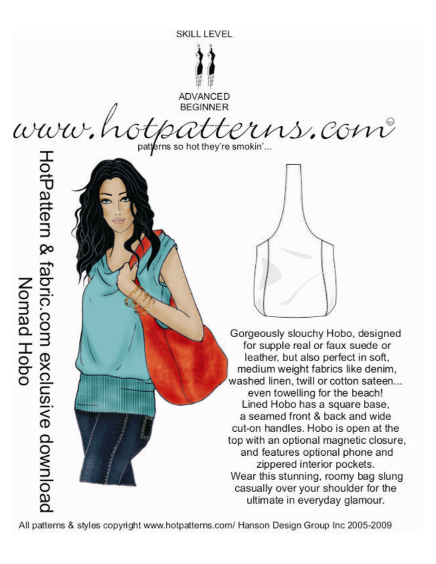

All patterns & styles copyright www.hotpatterns.com/ Hanson Design Group Inc 2005-2009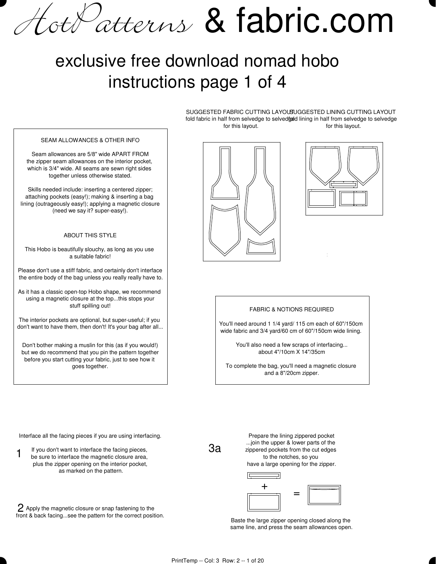$\text{det}$ atterns & fabric.com

### exclusive free download nomad hobo instructions page 1 of 4

SUGGESTED FABRIC CUTTING LAYOUT SUGGESTED LINING CUTTING LAYOUT fold fabric in half from selvedge to selved<del>gel</del>d lining in half from selvedge to selvedge for this layout. for this layout.

#### SEAM ALLOWANCES & OTHER INFO

Seam allowances are 5/8" wide APART FROM the zipper seam allowances on the interior pocket, which is 3/4" wide. All seams are sewn right sides together unless otherwise stated.

Skills needed include: inserting a centered zipper; attaching pockets (easy!); making & inserting a bag lining (outrageously easy!); applying a magnetic closure (need we say it? super-easy!).

#### ABOUT THIS STYLE

This Hobo is beautifully slouchy, as long as you use a suitable fabric!

Please don't use a stiff fabric, and certainly don't interface the entire body of the bag unless you really really have to.

As it has a classic open-top Hobo shape, we recommend using a magnetic closure at the top...this stops your stuff spilling out!

The interior pockets are optional, but super-useful; if you don't want to have them, then don't! It's your bag after all...

Don't bother making a muslin for this (as if you would!) but we do recommend that you pin the pattern together before you start cutting your fabric, just to see how it goes together.





FABRIC & NOTIONS REQUIRED

You'll need around 1 1/4 yard/ 115 cm each of 60"/150cm wide fabric and 3/4 yard/60 cm of 60"/150cm wide lining.

> You'll also need a few scraps of interfacing... about 4"/10cm X 14"/35cm

To complete the bag, you'll need a magnetic closure and a 8"/20cm zipper.

Interface all the facing pieces if you are using interfacing.

1 If you don't want to interface the facing pieces, be sure to interface the magnetic closure area, plus the zipper opening on the interior pocket, as marked on the pattern.

2 Apply the magnetic closure or snap fastening to the front & back facing...see the pattern for the correct position. 3a

Prepare the lining zippered pocket ...join the upper & lower parts of the zippered pockets from the cut edges to the notches, so you have a large opening for the zipper.



Baste the large zipper opening closed along the same line, and press the seam allowances open.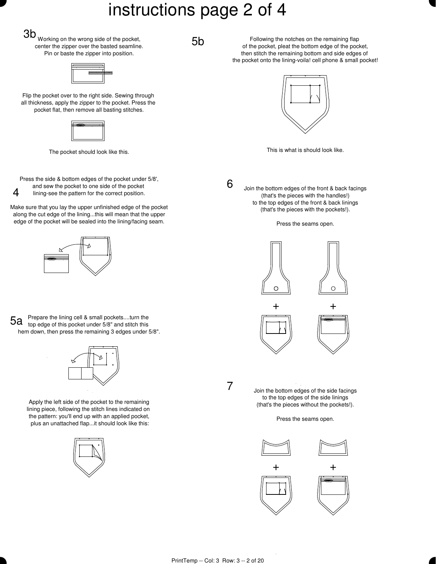#### instructions page 2 of 4



4

Working on the wrong side of the pocket, center the zipper over the basted seamline. Pin or baste the zipper into position.



Flip the pocket over to the right side. Sewing through all thickness, apply the zipper to the pocket. Press the pocket flat, then remove all basting stitches.



The pocket should look like this.

Press the side & bottom edges of the pocket under 5/8', and sew the pocket to one side of the pocket lining-see the pattern for the correct position.

Make sure that you lay the upper unfinished edge of the pocket along the cut edge of the lining...this will mean that the upper

edge of the pocket will be sealed into the lining/facing seam.



Prepare the lining cell & small pockets....turn the top edge of this pocket under 5/8" and stitch this hem down, then press the remaining 3 edges under 5/8". 5a



Apply the left side of the pocket to the remaining lining piece, following the stitch lines indicated on the pattern: you'll end up with an applied pocket, plus an unattached flap...it should look like this:



5b

Following the notches on the remaining flap of the pocket, pleat the bottom edge of the pocket, then stitch the remaining bottom and side edges of the pocket onto the lining-voila! cell phone & small pocket!



This is what is should look like.

6

Join the bottom edges of the front & back facings (that's the pieces with the handles!) to the top edges of the front & back linings (that's the pieces with the pockets!).

Press the seams open.







7 Join the bottom edges of the side facings to the top edges of the side linings (that's the pieces without the pockets!).

Press the seams open.

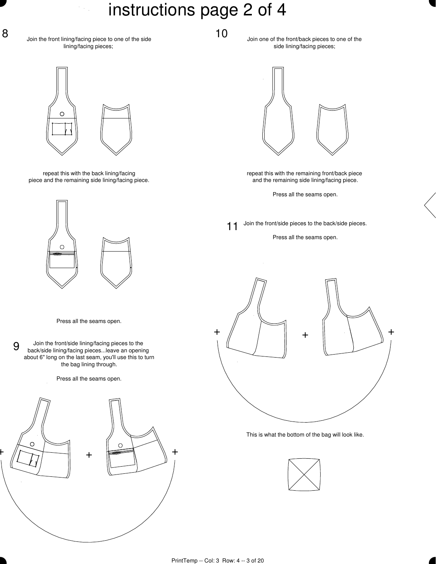### instructions page 2 of 4

8 Join the front lining/facing piece to one of the side lining/facing pieces;

 $\sim$   $\sim$ 

10 Join one of the front/back pieces to one of the side lining/facing pieces;



repeat this with the back lining/facing piece and the remaining side lining/facing piece.



Press all the seams open.

9 Join the front/side lining/facing pieces to the back/side lining/facing pieces...leave an opening about 6" long on the last seam, you'll use this to turn the bag lining through.

Press all the seams open.





repeat this with the remaining front/back piece and the remaining side lining/facing piece.

Press all the seams open.

11 Join the front/side pieces to the back/side pieces.

Press all the seams open.



This is what the bottom of the bag will look like.

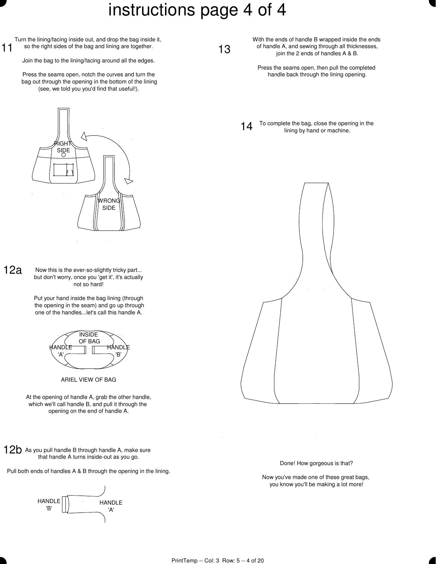#### instructions page 4 of 4

11 so the right sides of the bag and lining are together. 13 Turn the lining/facing inside out, and drop the bag inside it,

Join the bag to the lining/facing around all the edges.

Press the seams open, notch the curves and turn the bag out through the opening in the bottom of the lining (see, we told you you'd find that useful!).

With the ends of handle B wrapped inside the ends of handle A, and sewing through all thicknesses, join the 2 ends of handles A & B.

Press the seams open, then pull the completed handle back through the lining opening.

To complete the bag, close the opening in the 14 lo complete the bag, close the open<br>lining by hand or machine.

Done! How gorgeous is that?

Now you've made one of these great bags, you know you'll be making a lot more!



12a Now this is the ever-so-slightly tricky part... but don't worry, once you 'get it', it's actually not so hard!

> Put your hand inside the bag lining (through the opening in the seam) and go up through one of the handles...let's call this handle A.



ARIEL VIEW OF BAG

At the opening of handle A, grab the other handle, which we'll call handle B, and pull it through the opening on the end of handle A.

12b As you pull handle B through handle A, make sure that handle A turns inside-out as you go.

Pull both ends of handles A & B through the opening in the lining.

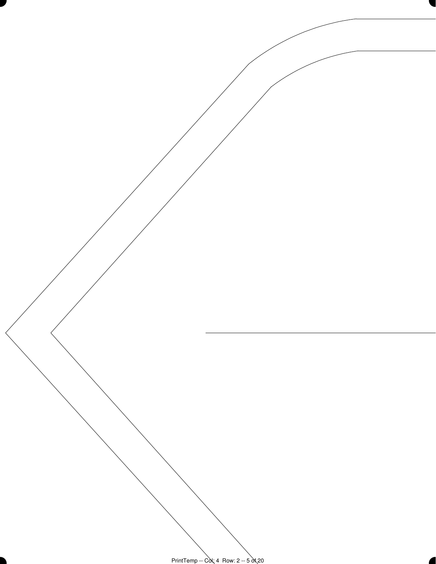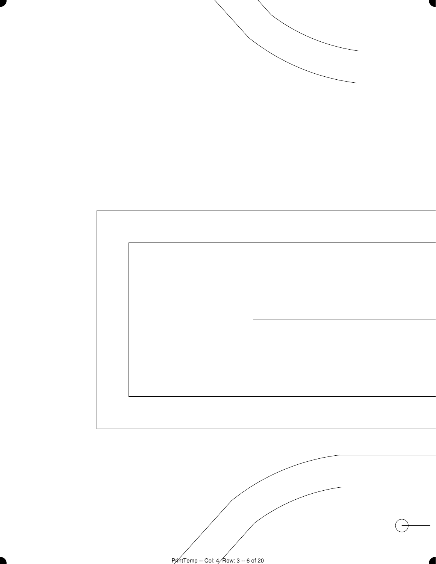



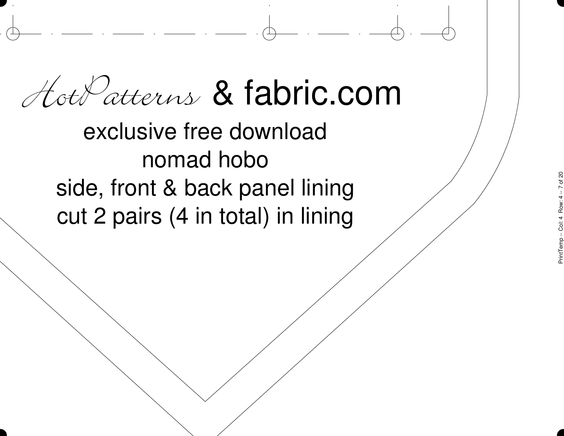## Actories & fabric.com exclusive free download n o m a d h o b o side, front & back panel lining cut 2 pairs (4 in total) in lining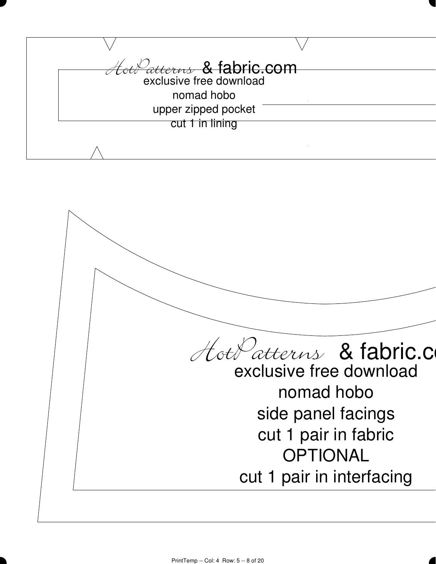exclusive free download nomad hobo upper zipped pocket cut 1 in lining HotPatterns & fabric.com

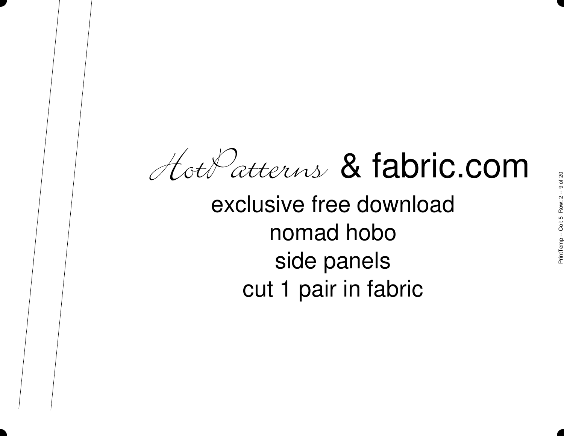# Aboth atterns & fabric.com

## exclusive free download n o m a d h o b o side panels cut 1 pair in fabric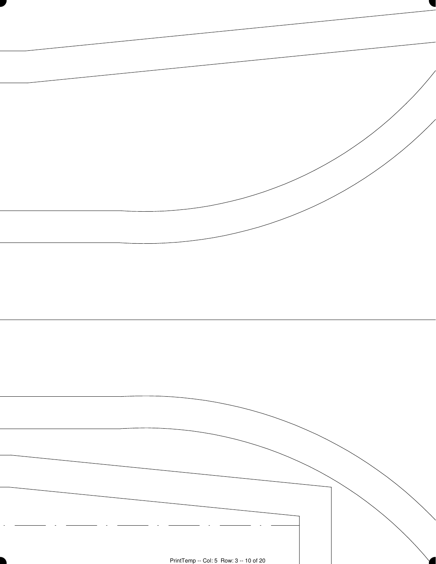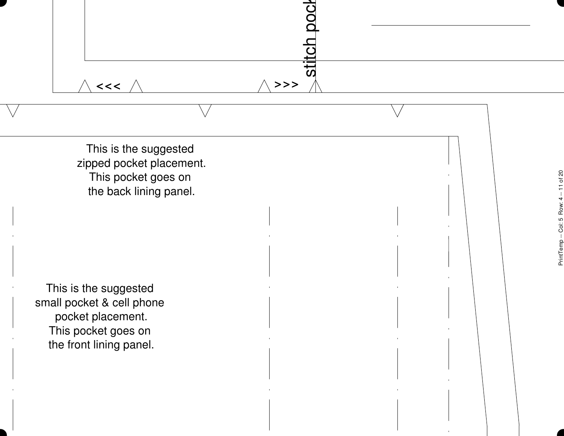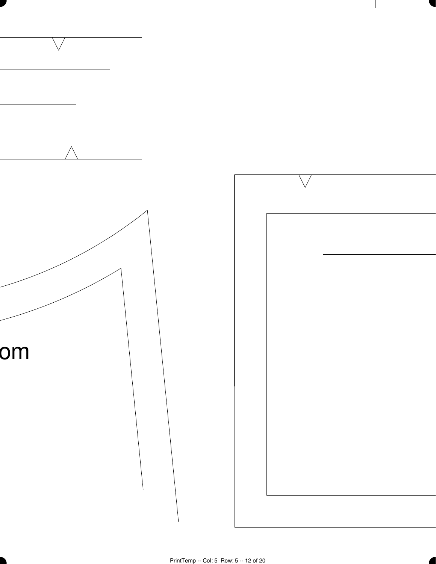



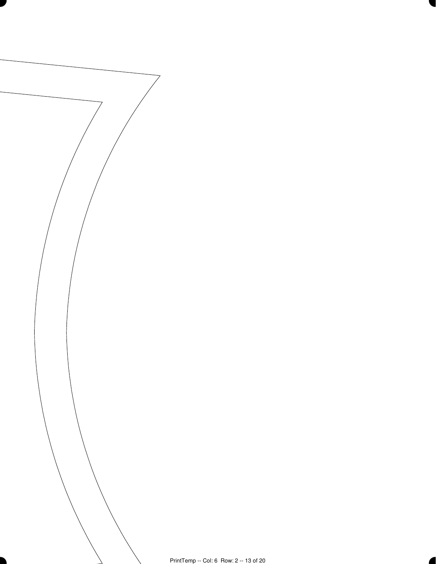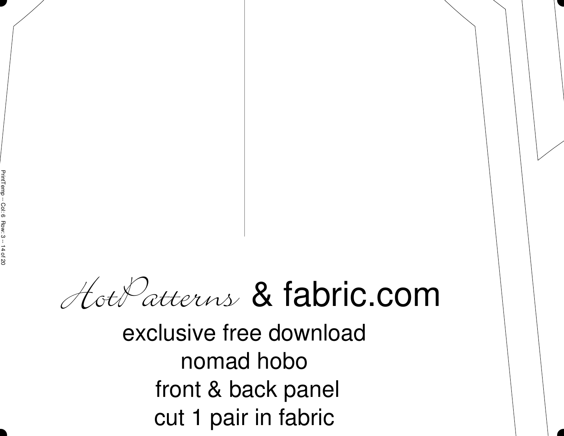$\circ$ 

# HotPatterns & fabric.com

exclusive free download nomad hobo front & back panel cut 1 pair in fabric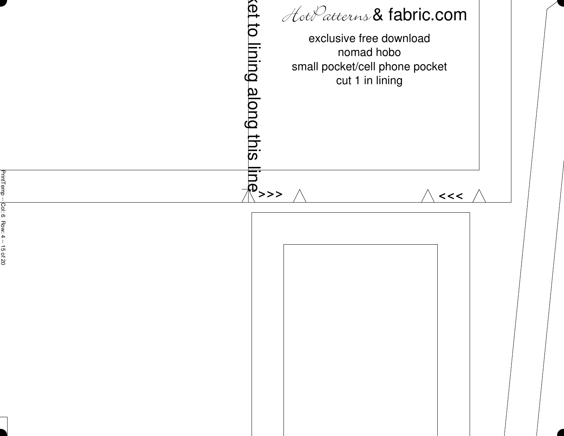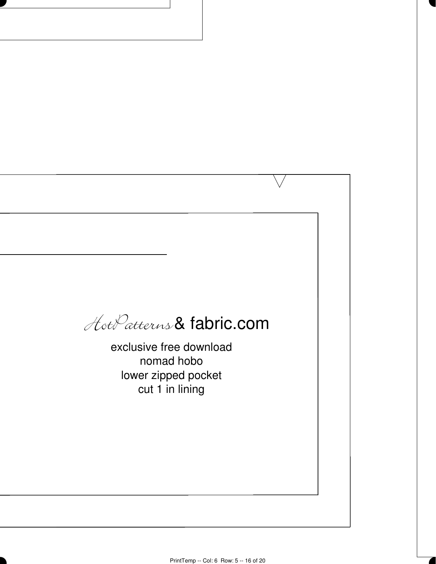HotPatterns& fabric.com

exclusive free download nomad hobo lower zipped pocket cut 1 in lining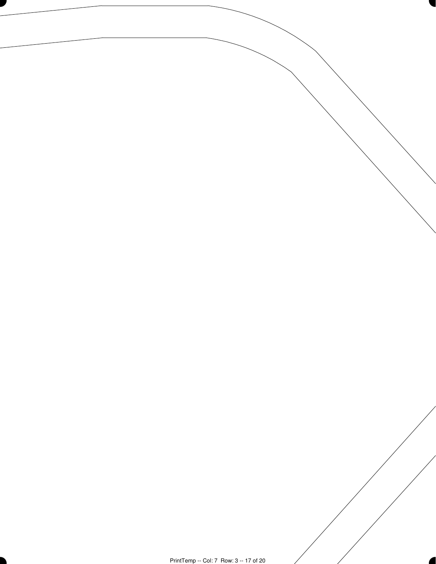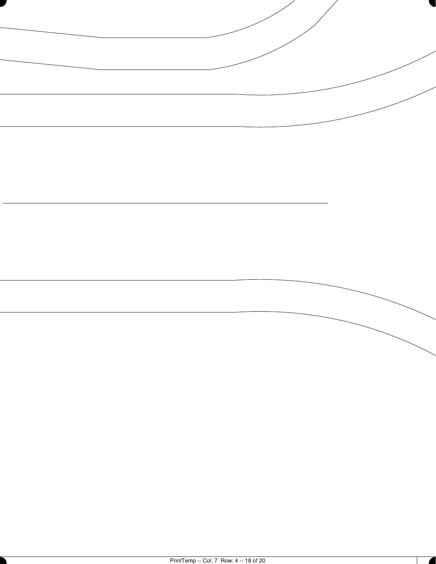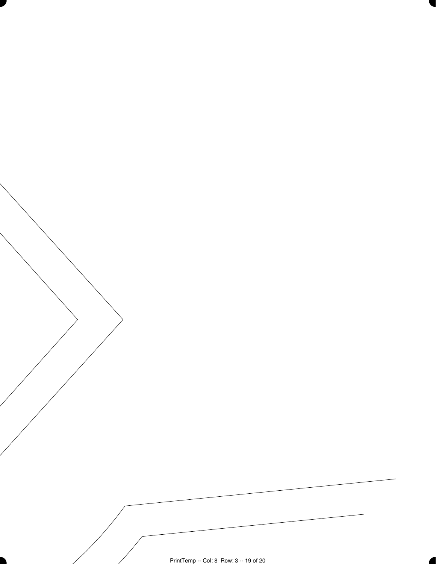PrintTemp -- Col: 8 Row: 3 -- 19 of 20